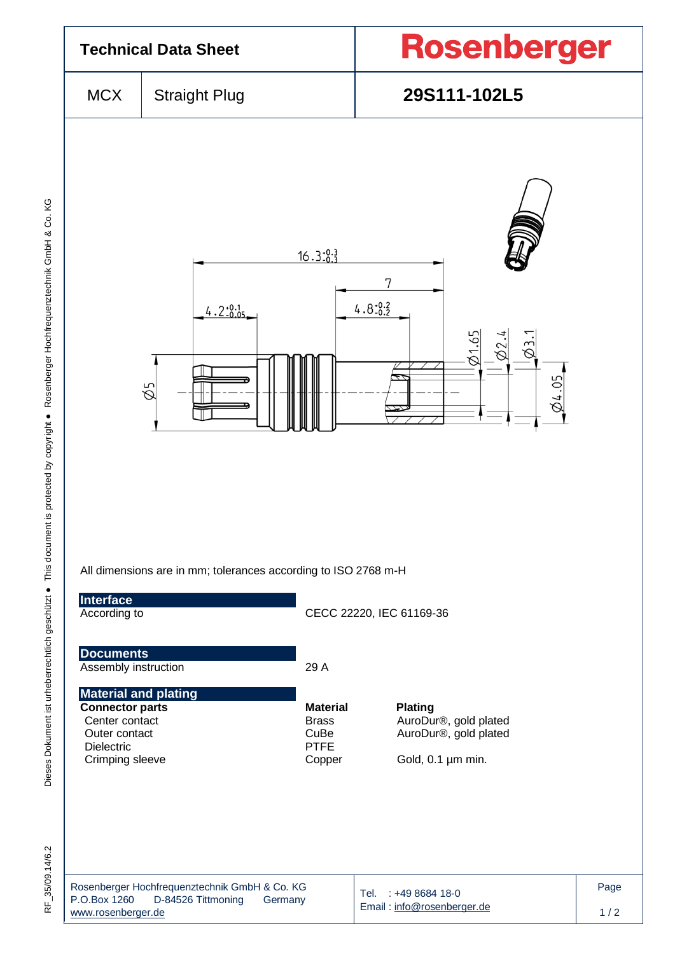

Dieses Dokument ist urheberrechtlich geschützt ● This document is protected by copyright ● Rosenberger Hochfrequenztechnik GmbH & Co. KG F\_35/09.14/6.2 Dieses Dokument ist urheberrechtlich geschützt ● This document is protected by copyright ● Rosenberger Hochfrequenztechnik GmbH & Co. KG

RF 35/09.14/6.2